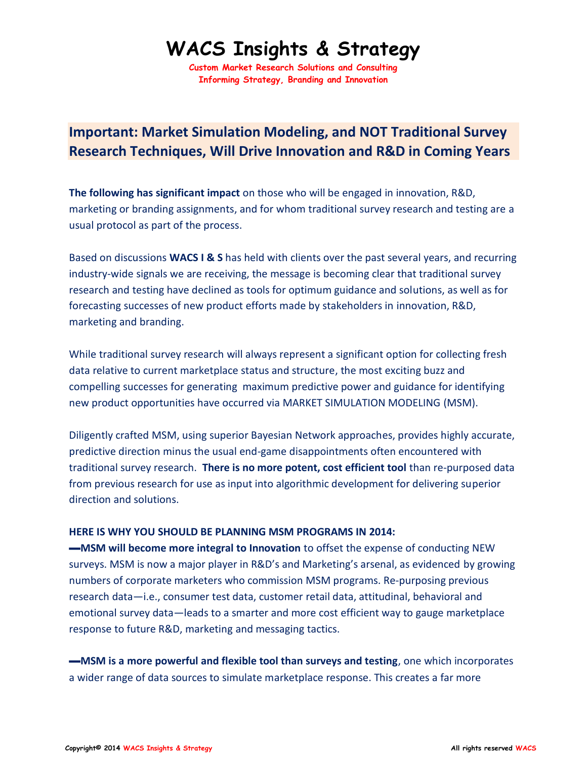## **WACS Insights & Strategy**

**Custom Market Research Solutions and Consulting Informing Strategy, Branding and Innovation**

## **Important: Market Simulation Modeling, and NOT Traditional Survey Research Techniques, Will Drive Innovation and R&D in Coming Years**

**The following has significant impact** on those who will be engaged in innovation, R&D, marketing or branding assignments, and for whom traditional survey research and testing are a usual protocol as part of the process.

Based on discussions **WACS I & S** has held with clients over the past several years, and recurring industry-wide signals we are receiving, the message is becoming clear that traditional survey research and testing have declined as tools for optimum guidance and solutions, as well as for forecasting successes of new product efforts made by stakeholders in innovation, R&D, marketing and branding.

While traditional survey research will always represent a significant option for collecting fresh data relative to current marketplace status and structure, the most exciting buzz and compelling successes for generating maximum predictive power and guidance for identifying new product opportunities have occurred via MARKET SIMULATION MODELING (MSM).

Diligently crafted MSM, using superior Bayesian Network approaches, provides highly accurate, predictive direction minus the usual end-game disappointments often encountered with traditional survey research. **There is no more potent, cost efficient tool** than re-purposed data from previous research for use as input into algorithmic development for delivering superior direction and solutions.

## **HERE IS WHY YOU SHOULD BE PLANNING MSM PROGRAMS IN 2014:**

**—MSM will become more integral to Innovation** to offset the expense of conducting NEW surveys. MSM is now a major player in R&D's and Marketing's arsenal, as evidenced by growing numbers of corporate marketers who commission MSM programs. Re-purposing previous research data—i.e., consumer test data, customer retail data, attitudinal, behavioral and emotional survey data—leads to a smarter and more cost efficient way to gauge marketplace response to future R&D, marketing and messaging tactics.

**—MSM is a more powerful and flexible tool than surveys and testing**, one which incorporates a wider range of data sources to simulate marketplace response. This creates a far more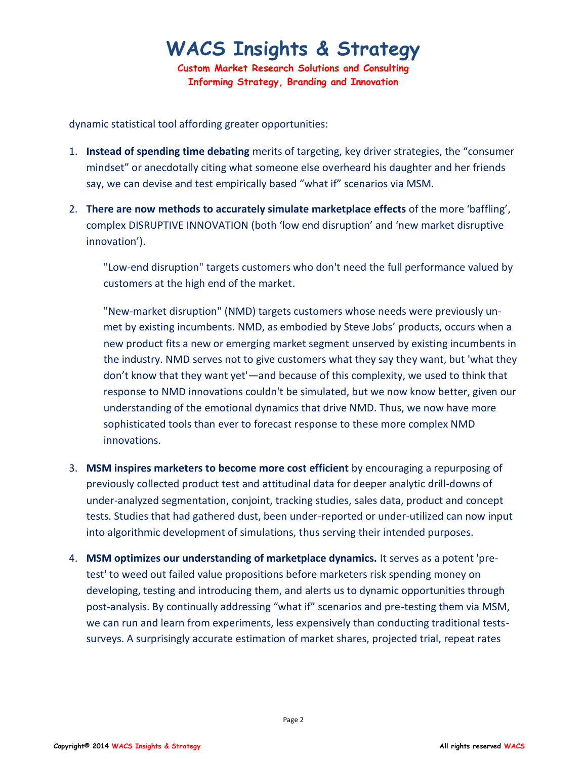## **WACS Insights & Strategy**

**Custom Market Research Solutions and Consulting Informing Strategy, Branding and Innovation**

dynamic statistical tool affording greater opportunities:

- 1. **Instead of spending time debating** merits of targeting, key driver strategies, the "consumer mindset" or anecdotally citing what someone else overheard his daughter and her friends say, we can devise and test empirically based "what if" scenarios via MSM.
- 2. **There are now methods to accurately simulate marketplace effects** of the more 'baffling', complex DISRUPTIVE INNOVATION (both 'low end disruption' and 'new market disruptive innovation').

"Low-end disruption" targets customers who don't need the full performance valued by customers at the high end of the market.

"New-market disruption" (NMD) targets customers whose needs were previously unmet by existing incumbents. NMD, as embodied by Steve Jobs' products, occurs when a new product fits a new or emerging market segment unserved by existing incumbents in the industry. NMD serves not to give customers what they say they want, but 'what they don't know that they want yet'—and because of this complexity, we used to think that response to NMD innovations couldn't be simulated, but we now know better, given our understanding of the emotional dynamics that drive NMD. Thus, we now have more sophisticated tools than ever to forecast response to these more complex NMD innovations.

- 3. **MSM inspires marketers to become more cost efficient** by encouraging a repurposing of previously collected product test and attitudinal data for deeper analytic drill-downs of under-analyzed segmentation, conjoint, tracking studies, sales data, product and concept tests. Studies that had gathered dust, been under-reported or under-utilized can now input into algorithmic development of simulations, thus serving their intended purposes.
- 4. **MSM optimizes our understanding of marketplace dynamics.** It serves as a potent 'pretest' to weed out failed value propositions before marketers risk spending money on developing, testing and introducing them, and alerts us to dynamic opportunities through post-analysis. By continually addressing "what if" scenarios and pre-testing them via MSM, we can run and learn from experiments, less expensively than conducting traditional testssurveys. A surprisingly accurate estimation of market shares, projected trial, repeat rates